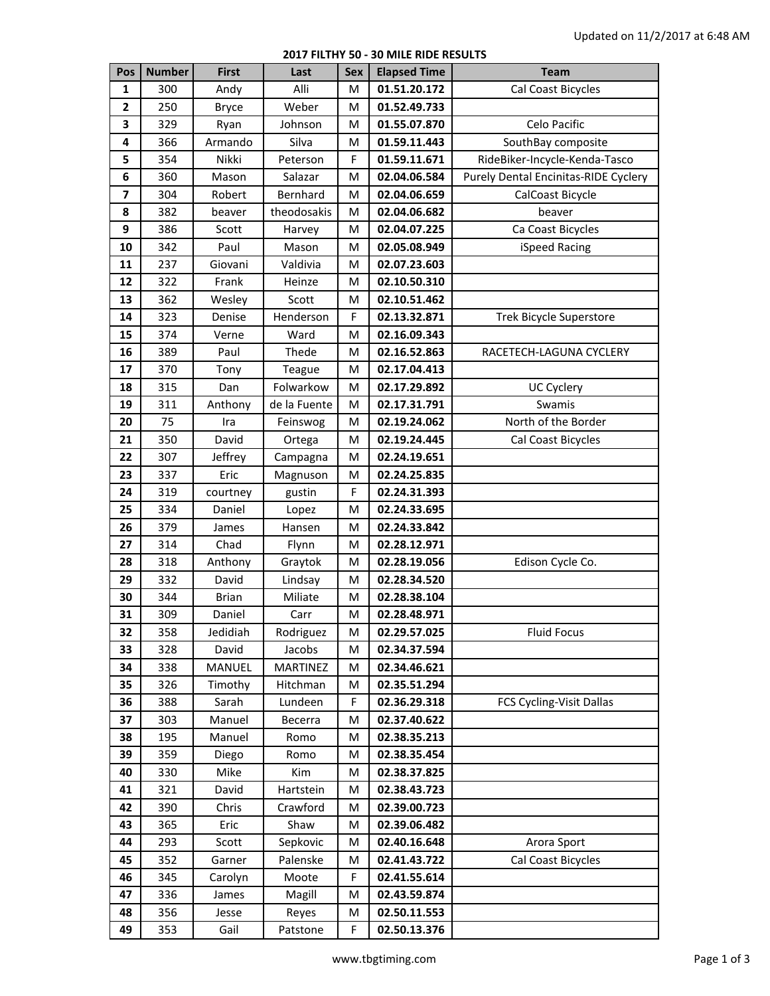## **2017 FILTHY 50 - 30 MILE RIDE RESULTS**

| Pos          | <b>Number</b> | <b>First</b> | Last         | <b>Sex</b> | <b>Elapsed Time</b> | <b>Team</b>                                 |
|--------------|---------------|--------------|--------------|------------|---------------------|---------------------------------------------|
| 1            | 300           | Andy         | Alli         | м          | 01.51.20.172        | Cal Coast Bicycles                          |
| $\mathbf{2}$ | 250           | <b>Bryce</b> | Weber        | м          | 01.52.49.733        |                                             |
| 3            | 329           | Ryan         | Johnson      | м          | 01.55.07.870        | Celo Pacific                                |
| 4            | 366           | Armando      | Silva        | M          | 01.59.11.443        | SouthBay composite                          |
| 5            | 354           | Nikki        | Peterson     | F          | 01.59.11.671        | RideBiker-Incycle-Kenda-Tasco               |
| 6            | 360           | Mason        | Salazar      | M          | 02.04.06.584        | <b>Purely Dental Encinitas-RIDE Cyclery</b> |
| 7            | 304           | Robert       | Bernhard     | M          | 02.04.06.659        | CalCoast Bicycle                            |
| 8            | 382           | beaver       | theodosakis  | M          | 02.04.06.682        | beaver                                      |
| 9            | 386           | Scott        | Harvey       | M          | 02.04.07.225        | Ca Coast Bicycles                           |
| 10           | 342           | Paul         | Mason        | M          | 02.05.08.949        | iSpeed Racing                               |
| 11           | 237           | Giovani      | Valdivia     | M          | 02.07.23.603        |                                             |
| 12           | 322           | Frank        | Heinze       | M          | 02.10.50.310        |                                             |
| 13           | 362           | Wesley       | Scott        | M          | 02.10.51.462        |                                             |
| 14           | 323           | Denise       | Henderson    | F          | 02.13.32.871        | <b>Trek Bicycle Superstore</b>              |
| 15           | 374           | Verne        | Ward         | M          | 02.16.09.343        |                                             |
| 16           | 389           | Paul         | Thede        | M          | 02.16.52.863        | RACETECH-LAGUNA CYCLERY                     |
| 17           | 370           | Tony         | Teague       | M          | 02.17.04.413        |                                             |
| 18           | 315           | Dan          | Folwarkow    | M          | 02.17.29.892        | <b>UC Cyclery</b>                           |
| 19           | 311           | Anthony      | de la Fuente | M          | 02.17.31.791        | Swamis                                      |
| 20           | 75            | Ira          | Feinswog     | м          | 02.19.24.062        | North of the Border                         |
| 21           | 350           | David        | Ortega       | м          | 02.19.24.445        | Cal Coast Bicycles                          |
| 22           | 307           | Jeffrey      | Campagna     | M          | 02.24.19.651        |                                             |
| 23           | 337           | Eric         | Magnuson     | M          | 02.24.25.835        |                                             |
| 24           | 319           | courtney     | gustin       | F          | 02.24.31.393        |                                             |
| 25           | 334           | Daniel       | Lopez        | M          | 02.24.33.695        |                                             |
| 26           | 379           | James        | Hansen       | M          | 02.24.33.842        |                                             |
| 27           | 314           | Chad         | Flynn        | м          | 02.28.12.971        |                                             |
| 28           | 318           | Anthony      | Graytok      | м          | 02.28.19.056        | Edison Cycle Co.                            |
| 29           | 332           | David        | Lindsay      | M          | 02.28.34.520        |                                             |
| 30           | 344           | <b>Brian</b> | Miliate      | M          | 02.28.38.104        |                                             |
| 31           | 309           | Daniel       | Carr         | м          | 02.28.48.971        |                                             |
| 32           | 358           | Jedidiah     | Rodriguez    | м          | 02.29.57.025        | <b>Fluid Focus</b>                          |
| 33           | 328           | David        | Jacobs       | М          | 02.34.37.594        |                                             |
| 34           | 338           | MANUEL       | MARTINEZ     | M          | 02.34.46.621        |                                             |
| 35           | 326           | Timothy      | Hitchman     | M          | 02.35.51.294        |                                             |
| 36           | 388           | Sarah        | Lundeen      | F          | 02.36.29.318        | FCS Cycling-Visit Dallas                    |
| 37           | 303           | Manuel       | Becerra      | M          | 02.37.40.622        |                                             |
| 38           | 195           | Manuel       | Romo         | М          | 02.38.35.213        |                                             |
| 39           | 359           | Diego        | Romo         | M          | 02.38.35.454        |                                             |
| 40           | 330           | Mike         | Kim          | M          | 02.38.37.825        |                                             |
| 41           | 321           | David        | Hartstein    | М          | 02.38.43.723        |                                             |
| 42           | 390           | Chris        | Crawford     | M          | 02.39.00.723        |                                             |
| 43           | 365           | Eric         | Shaw         | M          | 02.39.06.482        |                                             |
| 44           | 293           | Scott        | Sepkovic     | M          | 02.40.16.648        | Arora Sport                                 |
| 45           | 352           | Garner       | Palenske     | M          | 02.41.43.722        | Cal Coast Bicycles                          |
| 46           | 345           | Carolyn      | Moote        | F          | 02.41.55.614        |                                             |
| 47           | 336           | James        | Magill       | M          | 02.43.59.874        |                                             |
| 48           | 356           | Jesse        | Reyes        | M          | 02.50.11.553        |                                             |
| 49           | 353           | Gail         | Patstone     | F          | 02.50.13.376        |                                             |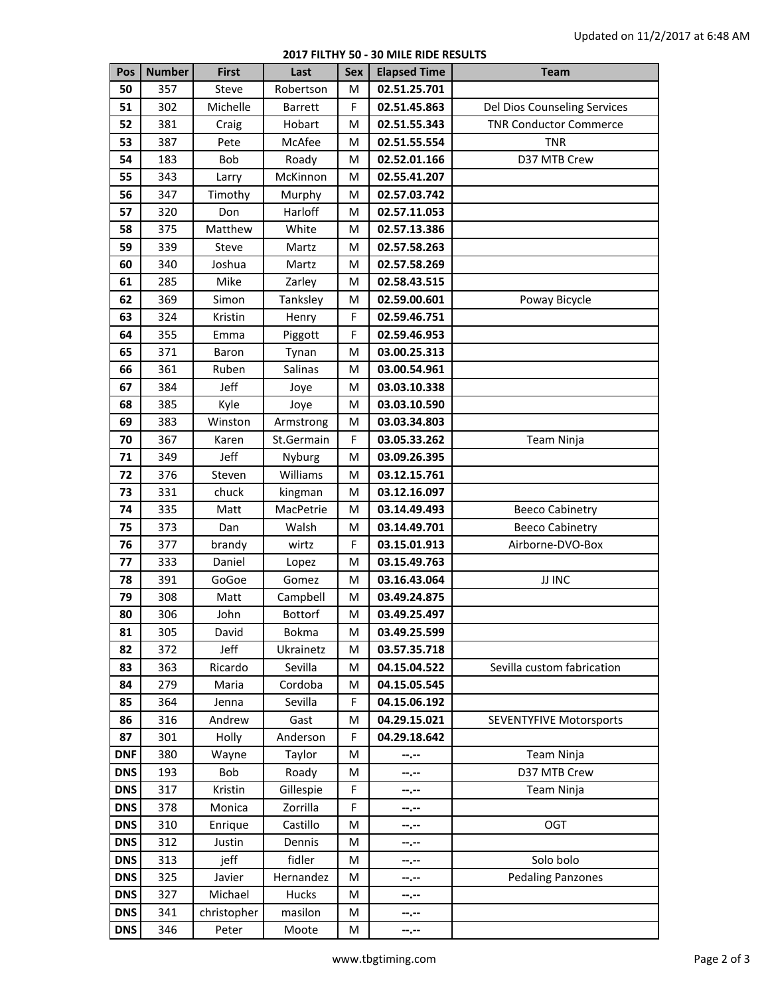## **2017 FILTHY 50 - 30 MILE RIDE RESULTS**

| Pos        | <b>Number</b> | <b>First</b> | Last           | <b>Sex</b> | <b>Elapsed Time</b> | <b>Team</b>                    |
|------------|---------------|--------------|----------------|------------|---------------------|--------------------------------|
| 50         | 357           | Steve        | Robertson      | м          | 02.51.25.701        |                                |
| 51         | 302           | Michelle     | <b>Barrett</b> | F          | 02.51.45.863        | Del Dios Counseling Services   |
| 52         | 381           | Craig        | Hobart         | M          | 02.51.55.343        | <b>TNR Conductor Commerce</b>  |
| 53         | 387           | Pete         | McAfee         | м          | 02.51.55.554        | <b>TNR</b>                     |
| 54         | 183           | Bob          | Roady          | M          | 02.52.01.166        | D37 MTB Crew                   |
| 55         | 343           | Larry        | McKinnon       | M          | 02.55.41.207        |                                |
| 56         | 347           | Timothy      | Murphy         | M          | 02.57.03.742        |                                |
| 57         | 320           | Don          | Harloff        | M          | 02.57.11.053        |                                |
| 58         | 375           | Matthew      | White          | M          | 02.57.13.386        |                                |
| 59         | 339           | Steve        | Martz          | M          | 02.57.58.263        |                                |
| 60         | 340           | Joshua       | Martz          | M          | 02.57.58.269        |                                |
| 61         | 285           | Mike         | Zarley         | м          | 02.58.43.515        |                                |
| 62         | 369           | Simon        | Tanksley       | M          | 02.59.00.601        | Poway Bicycle                  |
| 63         | 324           | Kristin      | Henry          | F          | 02.59.46.751        |                                |
| 64         | 355           | Emma         | Piggott        | F          | 02.59.46.953        |                                |
| 65         | 371           | Baron        | Tynan          | M          | 03.00.25.313        |                                |
| 66         | 361           | Ruben        | Salinas        | M          | 03.00.54.961        |                                |
| 67         | 384           | Jeff         | Joye           | M          | 03.03.10.338        |                                |
| 68         | 385           | Kyle         | Joye           | M          | 03.03.10.590        |                                |
| 69         | 383           | Winston      | Armstrong      | M          | 03.03.34.803        |                                |
| 70         | 367           | Karen        | St.Germain     | F          | 03.05.33.262        | Team Ninja                     |
| 71         | 349           | Jeff         | Nyburg         | M          | 03.09.26.395        |                                |
| 72         | 376           | Steven       | Williams       | M          | 03.12.15.761        |                                |
| 73         | 331           | chuck        | kingman        | M          | 03.12.16.097        |                                |
| 74         | 335           | Matt         | MacPetrie      | M          | 03.14.49.493        | <b>Beeco Cabinetry</b>         |
| 75         | 373           | Dan          | Walsh          | M          | 03.14.49.701        | <b>Beeco Cabinetry</b>         |
| 76         | 377           | brandy       | wirtz          | F          | 03.15.01.913        | Airborne-DVO-Box               |
| 77         | 333           | Daniel       | Lopez          | M          | 03.15.49.763        |                                |
| 78         | 391           | GoGoe        | Gomez          | M          | 03.16.43.064        | <b>JJ INC</b>                  |
| 79         | 308           | Matt         | Campbell       | M          | 03.49.24.875        |                                |
| 80         | 306           | John         | <b>Bottorf</b> | M          | 03.49.25.497        |                                |
| 81         | 305           | David        | <b>Bokma</b>   | м          | 03.49.25.599        |                                |
| 82         | 372           | Jeff         | Ukrainetz      | M          | 03.57.35.718        |                                |
| 83         | 363           | Ricardo      | Sevilla        | M          | 04.15.04.522        | Sevilla custom fabrication     |
| 84         | 279           | Maria        | Cordoba        | M          | 04.15.05.545        |                                |
| 85         | 364           | Jenna        | Sevilla        | F          | 04.15.06.192        |                                |
| 86         | 316           | Andrew       | Gast           | м          | 04.29.15.021        | <b>SEVENTYFIVE Motorsports</b> |
| 87         | 301           | Holly        | Anderson       | F          | 04.29.18.642        |                                |
| <b>DNF</b> | 380           | Wayne        | Taylor         | M          | --.--               | Team Ninja                     |
| <b>DNS</b> | 193           | Bob          | Roady          | м          | --.--               | D37 MTB Crew                   |
| <b>DNS</b> | 317           | Kristin      | Gillespie      | F          | --.--               | Team Ninja                     |
| <b>DNS</b> | 378           | Monica       | Zorrilla       | F          | --.--               |                                |
| <b>DNS</b> | 310           | Enrique      | Castillo       | м          | --.--               | OGT                            |
| <b>DNS</b> | 312           | Justin       | Dennis         | M          | --.--               |                                |
| <b>DNS</b> | 313           | jeff         | fidler         | M          | --.--               | Solo bolo                      |
| <b>DNS</b> | 325           | Javier       | Hernandez      | M          | --.--               | <b>Pedaling Panzones</b>       |
| <b>DNS</b> | 327           | Michael      | Hucks          | M          | --.--               |                                |
| <b>DNS</b> | 341           | christopher  | masilon        | M          | --.--               |                                |
| <b>DNS</b> | 346           | Peter        | Moote          | M          | --.--               |                                |